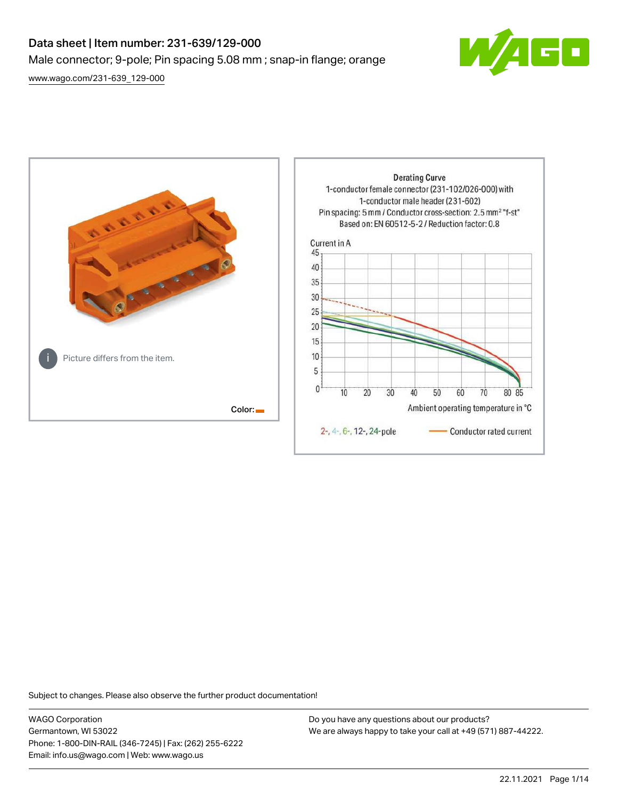# Data sheet | Item number: 231-639/129-000 Male connector; 9-pole; Pin spacing 5.08 mm ; snap-in flange; orange

[www.wago.com/231-639\\_129-000](http://www.wago.com/231-639_129-000)





Subject to changes. Please also observe the further product documentation!

WAGO Corporation Germantown, WI 53022 Phone: 1-800-DIN-RAIL (346-7245) | Fax: (262) 255-6222 Email: info.us@wago.com | Web: www.wago.us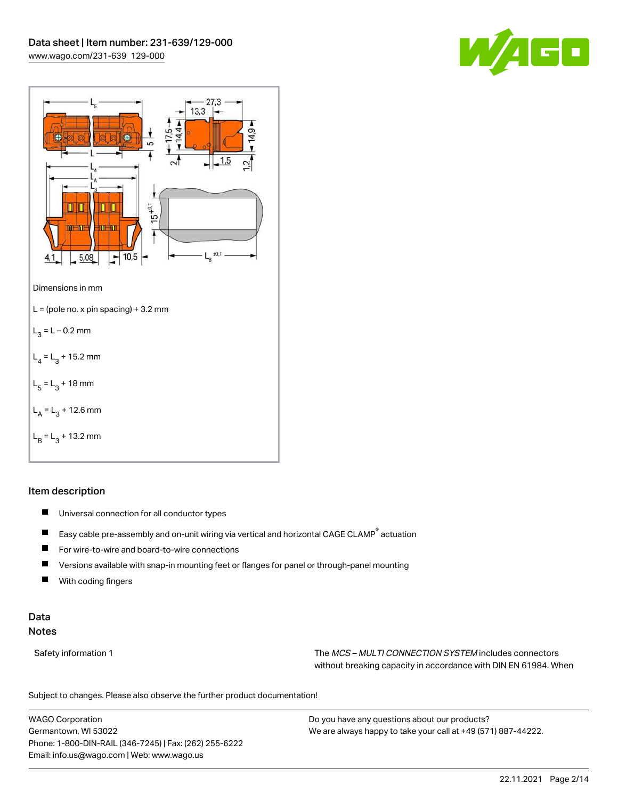



# Item description

- $\blacksquare$ Universal connection for all conductor types
- $\blacksquare$ Easy cable pre-assembly and on-unit wiring via vertical and horizontal CAGE CLAMP® actuation
- $\blacksquare$ For wire-to-wire and board-to-wire connections
- $\blacksquare$ Versions available with snap-in mounting feet or flanges for panel or through-panel mounting
- П With coding fingers

# Data Notes

Safety information 1 The MCS – MULTI CONNECTION SYSTEM includes connectors without breaking capacity in accordance with DIN EN 61984. When

Subject to changes. Please also observe the further product documentation!  $\mathbf{u}$ 

WAGO Corporation Germantown, WI 53022 Phone: 1-800-DIN-RAIL (346-7245) | Fax: (262) 255-6222 Email: info.us@wago.com | Web: www.wago.us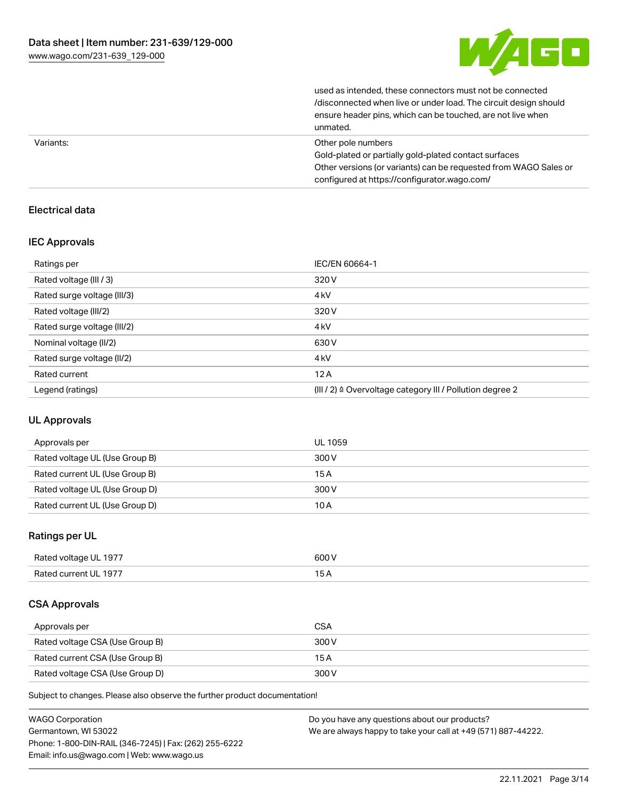

used as intended, these connectors must not be connected /disconnected when live or under load. The circuit design should ensure header pins, which can be touched, are not live when unmated.

|           | ----------                                                       |
|-----------|------------------------------------------------------------------|
| Variants: | Other pole numbers                                               |
|           | Gold-plated or partially gold-plated contact surfaces            |
|           | Other versions (or variants) can be requested from WAGO Sales or |
|           | configured at https://configurator.wago.com/                     |

# Electrical data

# IEC Approvals

| Ratings per                 | IEC/EN 60664-1                                                       |
|-----------------------------|----------------------------------------------------------------------|
| Rated voltage (III / 3)     | 320 V                                                                |
| Rated surge voltage (III/3) | 4 <sub>kV</sub>                                                      |
| Rated voltage (III/2)       | 320 V                                                                |
| Rated surge voltage (III/2) | 4 <sub>k</sub> V                                                     |
| Nominal voltage (II/2)      | 630 V                                                                |
| Rated surge voltage (II/2)  | 4 <sub>k</sub> V                                                     |
| Rated current               | 12A                                                                  |
| Legend (ratings)            | (III / 2) $\triangleq$ Overvoltage category III / Pollution degree 2 |

# UL Approvals

| Approvals per                  | UL 1059 |
|--------------------------------|---------|
| Rated voltage UL (Use Group B) | 300 V   |
| Rated current UL (Use Group B) | 15 A    |
| Rated voltage UL (Use Group D) | 300 V   |
| Rated current UL (Use Group D) | 10 A    |

# Ratings per UL

| Rated voltage UL 1977 | 600 V |
|-----------------------|-------|
| Rated current UL 1977 |       |

# CSA Approvals

| Approvals per                   | <b>CSA</b> |
|---------------------------------|------------|
| Rated voltage CSA (Use Group B) | 300 V      |
| Rated current CSA (Use Group B) | 15 A       |
| Rated voltage CSA (Use Group D) | 300 V      |

Subject to changes. Please also observe the further product documentation!

| <b>WAGO Corporation</b>                                | Do you have any questions about our products?                 |
|--------------------------------------------------------|---------------------------------------------------------------|
| Germantown, WI 53022                                   | We are always happy to take your call at +49 (571) 887-44222. |
| Phone: 1-800-DIN-RAIL (346-7245)   Fax: (262) 255-6222 |                                                               |
| Email: info.us@wago.com   Web: www.wago.us             |                                                               |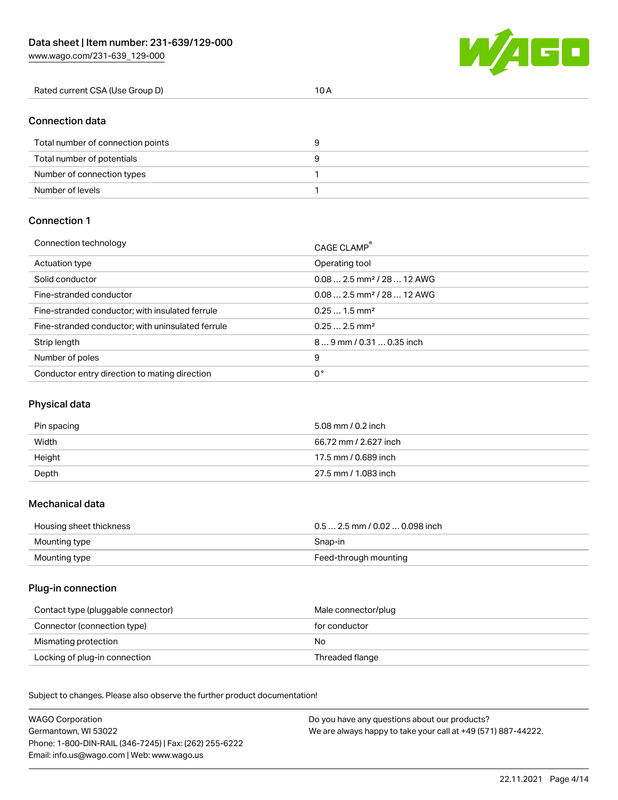

| Rated current CSA (Use Group D) |  |  |
|---------------------------------|--|--|
|---------------------------------|--|--|

# Connection data

| Total number of connection points | У |
|-----------------------------------|---|
| Total number of potentials        |   |
| Number of connection types        |   |
| Number of levels                  |   |

# Connection 1

| Connection technology                             | CAGE CLAMP®                             |
|---------------------------------------------------|-----------------------------------------|
| Actuation type                                    | Operating tool                          |
| Solid conductor                                   | $0.082.5$ mm <sup>2</sup> / 28  12 AWG  |
| Fine-stranded conductor                           | $0.08$ 2.5 mm <sup>2</sup> / 28  12 AWG |
| Fine-stranded conductor; with insulated ferrule   | $0.251.5$ mm <sup>2</sup>               |
| Fine-stranded conductor; with uninsulated ferrule | $0.252.5$ mm <sup>2</sup>               |
| Strip length                                      | $89$ mm / 0.31  0.35 inch               |
| Number of poles                                   | 9                                       |
| Conductor entry direction to mating direction     | 0°                                      |

# Physical data

| Pin spacing | 5.08 mm / 0.2 inch    |
|-------------|-----------------------|
| Width       | 66.72 mm / 2.627 inch |
| Height      | 17.5 mm / 0.689 inch  |
| Depth       | 27.5 mm / 1.083 inch  |

#### Mechanical data

| Housing sheet thickness | $0.5$ 2.5 mm / 0.02  0.098 inch |
|-------------------------|---------------------------------|
| Mounting type           | Snap-in                         |
| Mounting type           | Feed-through mounting           |

# Plug-in connection

| Contact type (pluggable connector) | Male connector/plug |
|------------------------------------|---------------------|
| Connector (connection type)        | for conductor       |
| Mismating protection               | No                  |
| Locking of plug-in connection      | Threaded flange     |

Subject to changes. Please also observe the further product documentation! Material data

| <b>WAGO Corporation</b>                                | Do you have any questions about our products?                 |
|--------------------------------------------------------|---------------------------------------------------------------|
| Germantown, WI 53022                                   | We are always happy to take your call at +49 (571) 887-44222. |
| Phone: 1-800-DIN-RAIL (346-7245)   Fax: (262) 255-6222 |                                                               |
| Email: info.us@wago.com   Web: www.wago.us             |                                                               |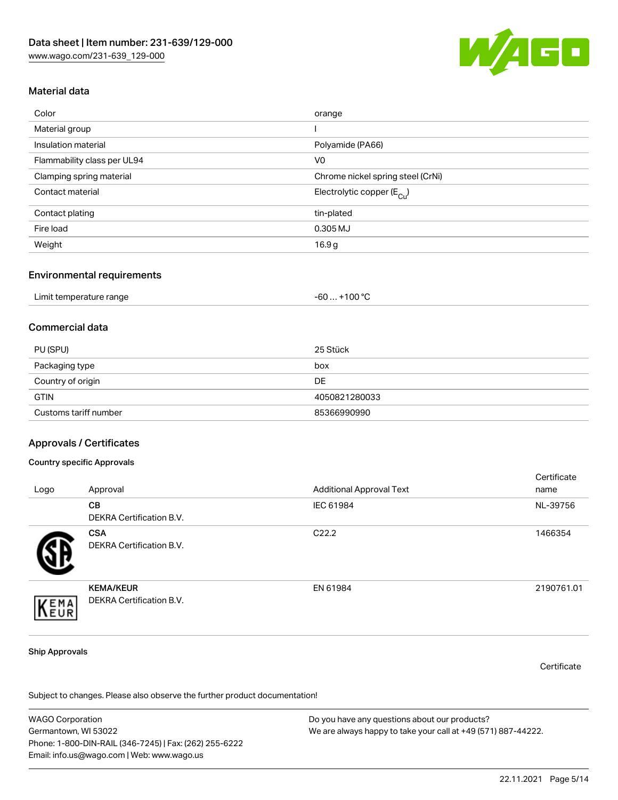

# Material data

| Color                       | orange                                 |
|-----------------------------|----------------------------------------|
| Material group              |                                        |
| Insulation material         | Polyamide (PA66)                       |
| Flammability class per UL94 | V <sub>0</sub>                         |
| Clamping spring material    | Chrome nickel spring steel (CrNi)      |
| Contact material            | Electrolytic copper (E <sub>Cu</sub> ) |
| Contact plating             | tin-plated                             |
| Fire load                   | 0.305 MJ                               |
| Weight                      | 16.9 <sub>g</sub>                      |

#### Environmental requirements

| Limit temperature range | . +100 ° <sup>∩</sup><br>-60 |
|-------------------------|------------------------------|
|-------------------------|------------------------------|

# Commercial data

| PU (SPU)              | 25 Stück      |
|-----------------------|---------------|
| Packaging type        | box           |
| Country of origin     | DE            |
| <b>GTIN</b>           | 4050821280033 |
| Customs tariff number | 85366990990   |

### Approvals / Certificates

#### Country specific Approvals

| Logo | Approval                                     | <b>Additional Approval Text</b> | Certificate<br>name |
|------|----------------------------------------------|---------------------------------|---------------------|
|      | <b>CB</b><br><b>DEKRA Certification B.V.</b> | IEC 61984                       | NL-39756            |
|      | <b>CSA</b><br>DEKRA Certification B.V.       | C <sub>22.2</sub>               | 1466354             |
| EMA  | <b>KEMA/KEUR</b><br>DEKRA Certification B.V. | EN 61984                        | 2190761.01          |

#### Ship Approvals

**Certificate** 

Subject to changes. Please also observe the further product documentation!

WAGO Corporation Germantown, WI 53022 Phone: 1-800-DIN-RAIL (346-7245) | Fax: (262) 255-6222 Email: info.us@wago.com | Web: www.wago.us Do you have any questions about our products? We are always happy to take your call at +49 (571) 887-44222.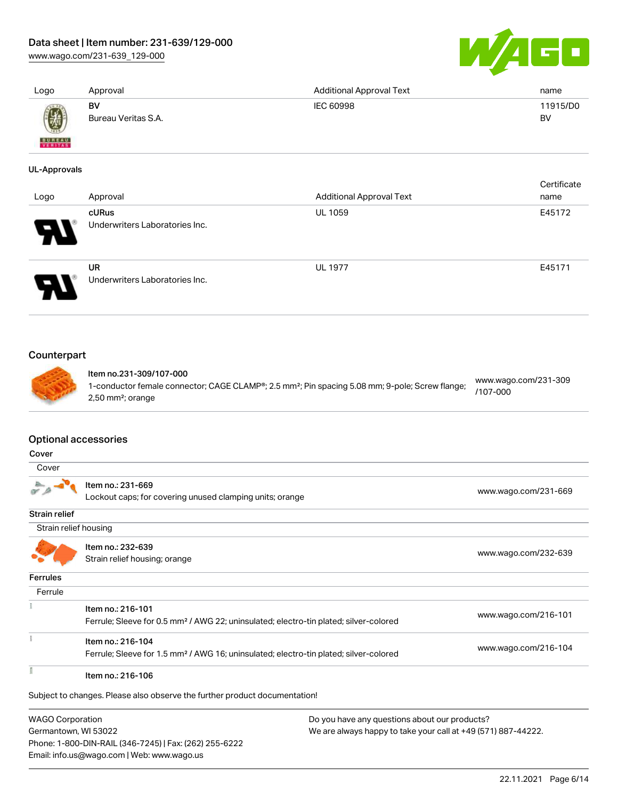[www.wago.com/231-639\\_129-000](http://www.wago.com/231-639_129-000)



| Logo                                 | Approval                                                                                                               | <b>Additional Approval Text</b>                                                                             | name                             |
|--------------------------------------|------------------------------------------------------------------------------------------------------------------------|-------------------------------------------------------------------------------------------------------------|----------------------------------|
|                                      | <b>BV</b><br>Bureau Veritas S.A.                                                                                       | IEC 60998                                                                                                   | 11915/D0<br><b>BV</b>            |
| FERITAS                              |                                                                                                                        |                                                                                                             |                                  |
| <b>UL-Approvals</b>                  |                                                                                                                        |                                                                                                             |                                  |
| Logo                                 | Approval                                                                                                               | <b>Additional Approval Text</b>                                                                             | Certificate<br>name              |
|                                      | cURus                                                                                                                  | <b>UL 1059</b>                                                                                              | E45172                           |
|                                      | Underwriters Laboratories Inc.                                                                                         |                                                                                                             |                                  |
|                                      | <b>UR</b><br>Underwriters Laboratories Inc.                                                                            | <b>UL 1977</b>                                                                                              | E45171                           |
| Counterpart                          | Item no.231-309/107-000                                                                                                |                                                                                                             |                                  |
|                                      | 2,50 mm <sup>2</sup> ; orange                                                                                          | 1-conductor female connector; CAGE CLAMP®; 2.5 mm <sup>2</sup> ; Pin spacing 5.08 mm; 9-pole; Screw flange; | www.wago.com/231-309<br>/107-000 |
| <b>Optional accessories</b><br>Cover |                                                                                                                        |                                                                                                             |                                  |
| Cover                                |                                                                                                                        |                                                                                                             |                                  |
|                                      | Item no.: 231-669<br>Lockout caps; for covering unused clamping units; orange                                          |                                                                                                             | www.wago.com/231-669             |
|                                      |                                                                                                                        |                                                                                                             |                                  |
| Strain relief housing                |                                                                                                                        |                                                                                                             |                                  |
|                                      |                                                                                                                        |                                                                                                             |                                  |
|                                      | Item no.: 232-639<br>Strain relief housing; orange                                                                     |                                                                                                             | www.wago.com/232-639             |
|                                      |                                                                                                                        |                                                                                                             |                                  |
| Ferrule                              |                                                                                                                        |                                                                                                             |                                  |
| Strain relief<br>Ferrules            | Item no.: 216-101<br>Ferrule; Sleeve for 0.5 mm <sup>2</sup> / AWG 22; uninsulated; electro-tin plated; silver-colored |                                                                                                             | www.wago.com/216-101             |
|                                      | Item no.: 216-104<br>Ferrule; Sleeve for 1.5 mm <sup>2</sup> / AWG 16; uninsulated; electro-tin plated; silver-colored |                                                                                                             | www.wago.com/216-104             |

Subject to changes. Please also observe the further product documentation!

WAGO Corporation Germantown, WI 53022 Phone: 1-800-DIN-RAIL (346-7245) | Fax: (262) 255-6222 Email: info.us@wago.com | Web: www.wago.us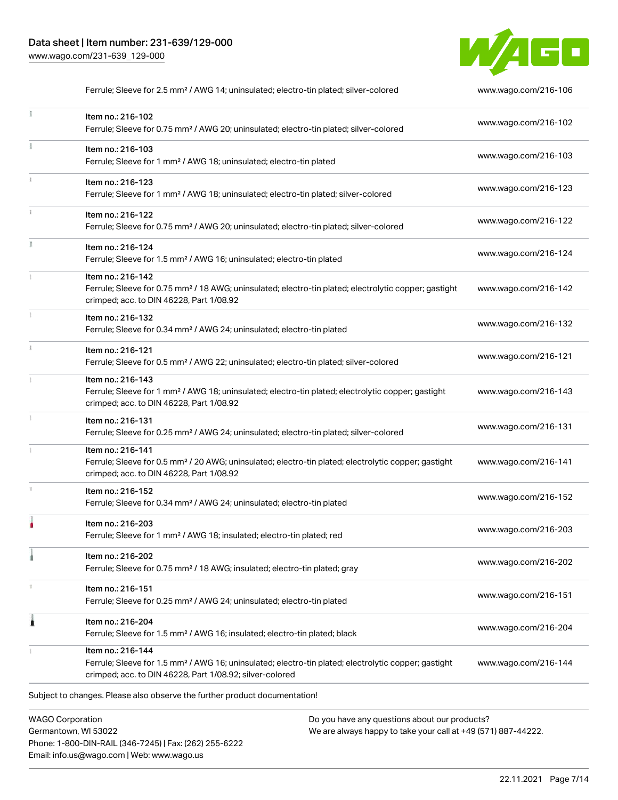

Ferrule; Sleeve for 2.5 mm² / AWG 14; uninsulated; electro-tin plated; silver-colored [www.wago.com/216-106](http://www.wago.com/216-106)  $\frac{1}{2}$ Item no.: 216-102 Ferrule; Sleeve for 0.75 mm² / AWG 20; uninsulated; electro-tin plated; silver-colored [www.wago.com/216-102](http://www.wago.com/216-102) Item no.: 216-103 Ferrule; Sleeve for 1 mm² / AWG 18; uninsulated; electro-tin plated [www.wago.com/216-103](http://www.wago.com/216-103) Item no.: 216-123 Ferrule; Sleeve for 1 mm² / AWG 18; uninsulated; electro-tin plated; silver-colored [www.wago.com/216-123](http://www.wago.com/216-123) Item no.: 216-122 Ferrule; Sleeve for 0.75 mm² / AWG 20; uninsulated; electro-tin plated; silver-colored [www.wago.com/216-122](http://www.wago.com/216-122) Item no.: 216-124 Ferrule; Sleeve for 1.5 mm² / AWG 16; uninsulated; electro-tin plated [www.wago.com/216-124](http://www.wago.com/216-124) Item no.: 216-142 Ferrule; Sleeve for 0.75 mm² / 18 AWG; uninsulated; electro-tin plated; electrolytic copper; gastight [www.wago.com/216-142](http://www.wago.com/216-142) crimped; acc. to DIN 46228, Part 1/08.92 Item no.: 216-132 Ferrule; Sleeve for 0.34 mm² / AWG 24; uninsulated; electro-tin plated [www.wago.com/216-132](http://www.wago.com/216-132) Item no.: 216-121 Ferrule; Sleeve for 0.5 mm² / AWG 22; uninsulated; electro-tin plated; silver-colored [www.wago.com/216-121](http://www.wago.com/216-121) Item no.: 216-143 Ferrule; Sleeve for 1 mm² / AWG 18; uninsulated; electro-tin plated; electrolytic copper; gastight [www.wago.com/216-143](http://www.wago.com/216-143) crimped; acc. to DIN 46228, Part 1/08.92 Item no.: 216-131 Ferrule; Sleeve for 0.25 mm² / AWG 24; uninsulated; electro-tin plated; silver-colored [www.wago.com/216-131](http://www.wago.com/216-131) Item no.: 216-141 Ferrule; Sleeve for 0.5 mm² / 20 AWG; uninsulated; electro-tin plated; electrolytic copper; gastight [www.wago.com/216-141](http://www.wago.com/216-141) crimped; acc. to DIN 46228, Part 1/08.92 Item no.: 216-152 Ferrule; Sleeve for 0.34 mm² / AWG 24; uninsulated; electro-tin plated [www.wago.com/216-152](http://www.wago.com/216-152) Item no.: 216-203 Ferrule; Sleeve for 1 mm² / AWG 18; insulated; electro-tin plated; red [www.wago.com/216-203](http://www.wago.com/216-203) Item no.: 216-202 Ferrule; Sleeve for 0.75 mm² / 18 AWG; insulated; electro-tin plated; gray [www.wago.com/216-202](http://www.wago.com/216-202) Item no.: 216-151 Ferrule; Sleeve for 0.25 mm² / AWG 24; uninsulated; electro-tin plated [www.wago.com/216-151](http://www.wago.com/216-151) Item no.: 216-204 Ferrule; Sleeve for 1.5 mm² / AWG 16; insulated; electro-tin plated; black [www.wago.com/216-204](http://www.wago.com/216-204) Item no.: 216-144 Ferrule; Sleeve for 1.5 mm² / AWG 16; uninsulated; electro-tin plated; electrolytic copper; gastight [www.wago.com/216-144](http://www.wago.com/216-144) crimped; acc. to DIN 46228, Part 1/08.92; silver-colored Subject to changes. Please also observe the further product documentation!

WAGO Corporation Germantown, WI 53022 Phone: 1-800-DIN-RAIL (346-7245) | Fax: (262) 255-6222 Email: info.us@wago.com | Web: www.wago.us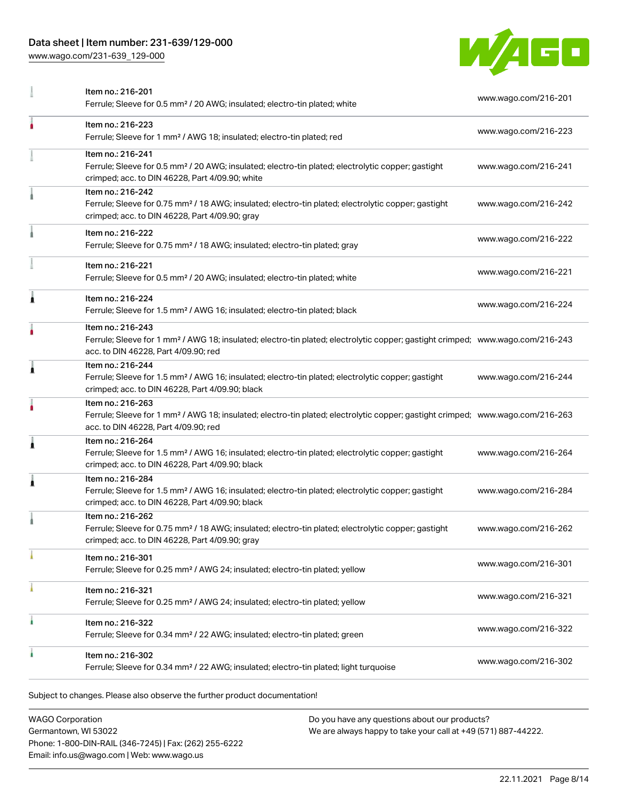[www.wago.com/231-639\\_129-000](http://www.wago.com/231-639_129-000)



|   | Item no.: 216-201<br>Ferrule; Sleeve for 0.5 mm <sup>2</sup> / 20 AWG; insulated; electro-tin plated; white                                                                                             | www.wago.com/216-201 |
|---|---------------------------------------------------------------------------------------------------------------------------------------------------------------------------------------------------------|----------------------|
| ۸ | Item no.: 216-223<br>Ferrule; Sleeve for 1 mm <sup>2</sup> / AWG 18; insulated; electro-tin plated; red                                                                                                 | www.wago.com/216-223 |
|   | Item no.: 216-241<br>Ferrule; Sleeve for 0.5 mm <sup>2</sup> / 20 AWG; insulated; electro-tin plated; electrolytic copper; gastight<br>crimped; acc. to DIN 46228, Part 4/09.90; white                  | www.wago.com/216-241 |
|   | Item no.: 216-242<br>Ferrule; Sleeve for 0.75 mm <sup>2</sup> / 18 AWG; insulated; electro-tin plated; electrolytic copper; gastight<br>crimped; acc. to DIN 46228, Part 4/09.90; gray                  | www.wago.com/216-242 |
|   | Item no.: 216-222<br>Ferrule; Sleeve for 0.75 mm <sup>2</sup> / 18 AWG; insulated; electro-tin plated; gray                                                                                             | www.wago.com/216-222 |
|   | Item no.: 216-221<br>Ferrule; Sleeve for 0.5 mm <sup>2</sup> / 20 AWG; insulated; electro-tin plated; white                                                                                             | www.wago.com/216-221 |
| 1 | Item no.: 216-224<br>Ferrule; Sleeve for 1.5 mm <sup>2</sup> / AWG 16; insulated; electro-tin plated; black                                                                                             | www.wago.com/216-224 |
| ۸ | Item no.: 216-243<br>Ferrule; Sleeve for 1 mm <sup>2</sup> / AWG 18; insulated; electro-tin plated; electrolytic copper; gastight crimped; www.wago.com/216-243<br>acc. to DIN 46228, Part 4/09.90; red |                      |
| Ă | Item no.: 216-244<br>Ferrule; Sleeve for 1.5 mm <sup>2</sup> / AWG 16; insulated; electro-tin plated; electrolytic copper; gastight<br>crimped; acc. to DIN 46228, Part 4/09.90; black                  | www.wago.com/216-244 |
|   | Item no.: 216-263<br>Ferrule; Sleeve for 1 mm <sup>2</sup> / AWG 18; insulated; electro-tin plated; electrolytic copper; gastight crimped; www.wago.com/216-263<br>acc. to DIN 46228, Part 4/09.90; red |                      |
| 1 | Item no.: 216-264<br>Ferrule; Sleeve for 1.5 mm <sup>2</sup> / AWG 16; insulated; electro-tin plated; electrolytic copper; gastight<br>crimped; acc. to DIN 46228, Part 4/09.90; black                  | www.wago.com/216-264 |
| 1 | Item no.: 216-284<br>Ferrule; Sleeve for 1.5 mm <sup>2</sup> / AWG 16; insulated; electro-tin plated; electrolytic copper; gastight<br>crimped; acc. to DIN 46228, Part 4/09.90; black                  | www.wago.com/216-284 |
|   | Item no.: 216-262<br>Ferrule; Sleeve for 0.75 mm <sup>2</sup> / 18 AWG; insulated; electro-tin plated; electrolytic copper; gastight<br>crimped; acc. to DIN 46228, Part 4/09.90; gray                  | www.wago.com/216-262 |
|   | Item no.: 216-301<br>Ferrule; Sleeve for 0.25 mm <sup>2</sup> / AWG 24; insulated; electro-tin plated; yellow                                                                                           | www.wago.com/216-301 |
|   | Item no.: 216-321<br>Ferrule; Sleeve for 0.25 mm <sup>2</sup> / AWG 24; insulated; electro-tin plated; yellow                                                                                           | www.wago.com/216-321 |
| ٠ | Item no.: 216-322<br>Ferrule; Sleeve for 0.34 mm <sup>2</sup> / 22 AWG; insulated; electro-tin plated; green                                                                                            | www.wago.com/216-322 |
|   | Item no.: 216-302<br>Ferrule; Sleeve for 0.34 mm <sup>2</sup> / 22 AWG; insulated; electro-tin plated; light turquoise                                                                                  | www.wago.com/216-302 |

| <b>WAGO Corporation</b>                                |
|--------------------------------------------------------|
| Germantown, WI 53022                                   |
| Phone: 1-800-DIN-RAIL (346-7245)   Fax: (262) 255-6222 |
| Email: info.us@wago.com   Web: www.wago.us             |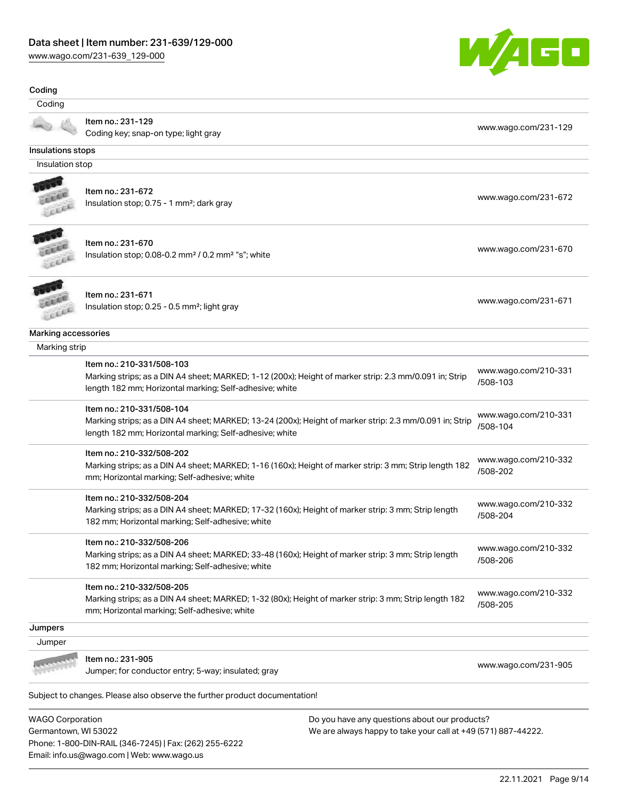Phone: 1-800-DIN-RAIL (346-7245) | Fax: (262) 255-6222

Email: info.us@wago.com | Web: www.wago.us

[www.wago.com/231-639\\_129-000](http://www.wago.com/231-639_129-000)



| Coding                                          |                                                                                                                                                                                                 |                                                                                                                |                                  |
|-------------------------------------------------|-------------------------------------------------------------------------------------------------------------------------------------------------------------------------------------------------|----------------------------------------------------------------------------------------------------------------|----------------------------------|
| Coding                                          |                                                                                                                                                                                                 |                                                                                                                |                                  |
|                                                 | Item no.: 231-129<br>Coding key; snap-on type; light gray                                                                                                                                       |                                                                                                                | www.wago.com/231-129             |
| Insulations stops                               |                                                                                                                                                                                                 |                                                                                                                |                                  |
| Insulation stop                                 |                                                                                                                                                                                                 |                                                                                                                |                                  |
|                                                 |                                                                                                                                                                                                 |                                                                                                                |                                  |
| LEEL                                            | Item no.: 231-672<br>Insulation stop; 0.75 - 1 mm <sup>2</sup> ; dark gray                                                                                                                      |                                                                                                                | www.wago.com/231-672             |
| Leece                                           | Item no.: 231-670<br>Insulation stop; 0.08-0.2 mm <sup>2</sup> / 0.2 mm <sup>2</sup> "s"; white                                                                                                 |                                                                                                                | www.wago.com/231-670             |
|                                                 | Item no.: 231-671<br>Insulation stop; 0.25 - 0.5 mm <sup>2</sup> ; light gray                                                                                                                   |                                                                                                                | www.wago.com/231-671             |
| <b>Marking accessories</b>                      |                                                                                                                                                                                                 |                                                                                                                |                                  |
| Marking strip                                   |                                                                                                                                                                                                 |                                                                                                                |                                  |
|                                                 | Item no.: 210-331/508-103<br>Marking strips; as a DIN A4 sheet; MARKED; 1-12 (200x); Height of marker strip: 2.3 mm/0.091 in; Strip<br>length 182 mm; Horizontal marking; Self-adhesive; white  |                                                                                                                | www.wago.com/210-331<br>/508-103 |
|                                                 | Item no.: 210-331/508-104<br>Marking strips; as a DIN A4 sheet; MARKED; 13-24 (200x); Height of marker strip: 2.3 mm/0.091 in; Strip<br>length 182 mm; Horizontal marking; Self-adhesive; white |                                                                                                                | www.wago.com/210-331<br>/508-104 |
|                                                 | Item no.: 210-332/508-202<br>Marking strips; as a DIN A4 sheet; MARKED; 1-16 (160x); Height of marker strip: 3 mm; Strip length 182<br>mm; Horizontal marking; Self-adhesive; white             |                                                                                                                | www.wago.com/210-332<br>/508-202 |
|                                                 | Item no.: 210-332/508-204<br>Marking strips; as a DIN A4 sheet; MARKED; 17-32 (160x); Height of marker strip: 3 mm; Strip length<br>182 mm; Horizontal marking; Self-adhesive; white            |                                                                                                                | www.wago.com/210-332<br>/508-204 |
|                                                 | Item no.: 210-332/508-206<br>Marking strips; as a DIN A4 sheet; MARKED; 33-48 (160x); Height of marker strip: 3 mm; Strip length<br>182 mm; Horizontal marking; Self-adhesive; white            |                                                                                                                | www.wago.com/210-332<br>/508-206 |
|                                                 | Item no.: 210-332/508-205<br>Marking strips; as a DIN A4 sheet; MARKED; 1-32 (80x); Height of marker strip: 3 mm; Strip length 182<br>mm; Horizontal marking; Self-adhesive; white              |                                                                                                                | www.wago.com/210-332<br>/508-205 |
| Jumpers                                         |                                                                                                                                                                                                 |                                                                                                                |                                  |
| Jumper                                          |                                                                                                                                                                                                 |                                                                                                                |                                  |
|                                                 | Item no.: 231-905<br>Jumper; for conductor entry; 5-way; insulated; gray                                                                                                                        |                                                                                                                | www.wago.com/231-905             |
|                                                 | Subject to changes. Please also observe the further product documentation!                                                                                                                      |                                                                                                                |                                  |
| <b>WAGO Corporation</b><br>Germantown, WI 53022 |                                                                                                                                                                                                 | Do you have any questions about our products?<br>We are always happy to take your call at +49 (571) 887-44222. |                                  |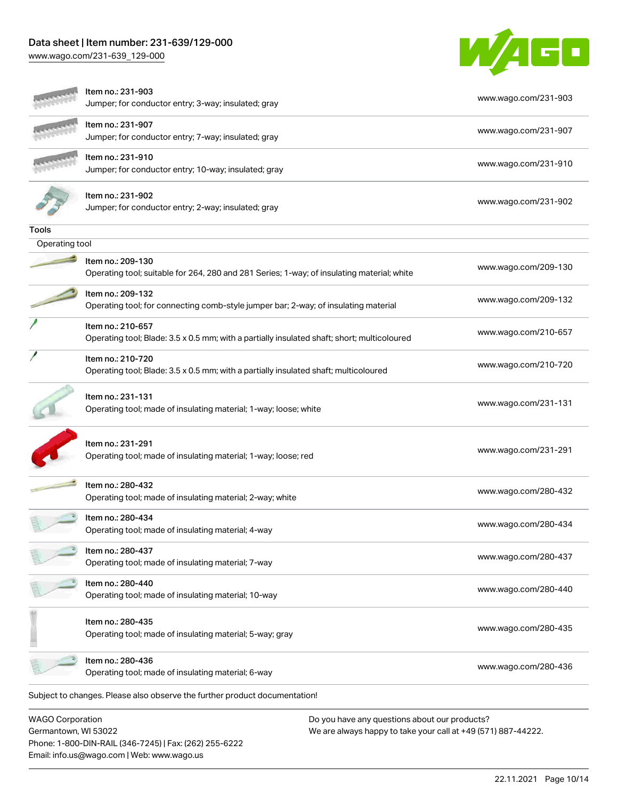Phone: 1-800-DIN-RAIL (346-7245) | Fax: (262) 255-6222

Email: info.us@wago.com | Web: www.wago.us

[www.wago.com/231-639\\_129-000](http://www.wago.com/231-639_129-000)



|                                                 | ltem no.: 231-903<br>Jumper; for conductor entry; 3-way; insulated; gray                                         | www.wago.com/231-903                                                                                           |
|-------------------------------------------------|------------------------------------------------------------------------------------------------------------------|----------------------------------------------------------------------------------------------------------------|
|                                                 | Item no.: 231-907<br>Jumper; for conductor entry; 7-way; insulated; gray                                         | www.wago.com/231-907                                                                                           |
|                                                 | ltem no.: 231-910<br>Jumper; for conductor entry; 10-way; insulated; gray                                        | www.wago.com/231-910                                                                                           |
|                                                 | Item no.: 231-902<br>Jumper; for conductor entry; 2-way; insulated; gray                                         | www.wago.com/231-902                                                                                           |
| Tools                                           |                                                                                                                  |                                                                                                                |
| Operating tool                                  |                                                                                                                  |                                                                                                                |
|                                                 | Item no.: 209-130<br>Operating tool; suitable for 264, 280 and 281 Series; 1-way; of insulating material; white  | www.wago.com/209-130                                                                                           |
|                                                 | Item no.: 209-132<br>Operating tool; for connecting comb-style jumper bar; 2-way; of insulating material         | www.wago.com/209-132                                                                                           |
|                                                 | Item no.: 210-657<br>Operating tool; Blade: 3.5 x 0.5 mm; with a partially insulated shaft; short; multicoloured | www.wago.com/210-657                                                                                           |
|                                                 | Item no.: 210-720<br>Operating tool; Blade: 3.5 x 0.5 mm; with a partially insulated shaft; multicoloured        | www.wago.com/210-720                                                                                           |
|                                                 | Item no.: 231-131<br>Operating tool; made of insulating material; 1-way; loose; white                            | www.wago.com/231-131                                                                                           |
|                                                 | Item no.: 231-291<br>Operating tool; made of insulating material; 1-way; loose; red                              | www.wago.com/231-291                                                                                           |
|                                                 | Item no.: 280-432<br>Operating tool; made of insulating material; 2-way; white                                   | www.wago.com/280-432                                                                                           |
|                                                 | Item no.: 280-434<br>Operating tool; made of insulating material; 4-way                                          | www.wago.com/280-434                                                                                           |
|                                                 | Item no.: 280-437<br>Operating tool; made of insulating material; 7-way                                          | www.wago.com/280-437                                                                                           |
|                                                 | Item no.: 280-440<br>Operating tool; made of insulating material; 10-way                                         | www.wago.com/280-440                                                                                           |
|                                                 | Item no.: 280-435<br>Operating tool; made of insulating material; 5-way; gray                                    | www.wago.com/280-435                                                                                           |
|                                                 | Item no.: 280-436<br>Operating tool; made of insulating material; 6-way                                          | www.wago.com/280-436                                                                                           |
|                                                 | Subject to changes. Please also observe the further product documentation!                                       |                                                                                                                |
| <b>WAGO Corporation</b><br>Germantown, WI 53022 |                                                                                                                  | Do you have any questions about our products?<br>We are always happy to take your call at +49 (571) 887-44222. |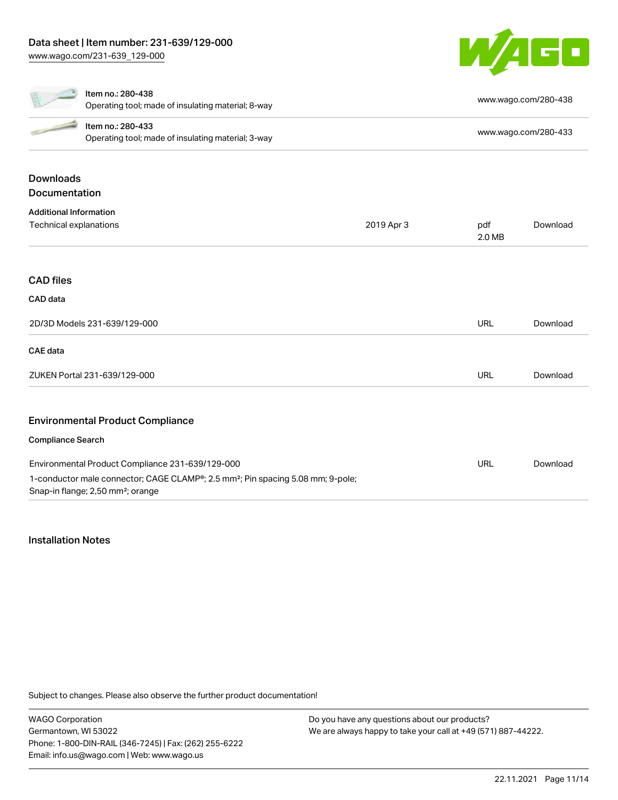

Downloads

#### Item no.: 280-438

|                                                                                                                                                                                                                                      | Operating tool; made of insulating material; 8-way                      | www.wago.com/280-438 |
|--------------------------------------------------------------------------------------------------------------------------------------------------------------------------------------------------------------------------------------|-------------------------------------------------------------------------|----------------------|
| <b>Contract Contract Contract Contract Contract Contract Contract Contract Contract Contract Contract Contract Contract Contract Contract Contract Contract Contract Contract Contract Contract Contract Contract Contract Contr</b> | Item no.: 280-433<br>Operating tool; made of insulating material; 3-way | www.wago.com/280-433 |
|                                                                                                                                                                                                                                      |                                                                         |                      |

# Documentation Additional Information Technical explanations 2019 Apr 3 pdf 2.0 MB [Download](https://www.wago.com/global/d/1435602) CAD files CAD data 2D/3D Models 231-639/129-000 URL [Download](https://www.wago.com/global/d/3D_URLS_231-639_129-000) CAE data ZUKEN Portal 231-639/129-000 URL [Download](https://www.wago.com/global/d/Zuken_URLS_231-639_129-000) Environmental Product Compliance Compliance Search Environmental Product Compliance 231-639/129-000 1-conductor male connector; CAGE CLAMP®; 2.5 mm²; Pin spacing 5.08 mm; 9-pole; Snap-in flange; 2,50 mm²; orange URL [Download](https://www.wago.com/global/d/ComplianceLinkMediaContainer_231-639_129-000)

# Installation Notes

Subject to changes. Please also observe the further product documentation!

WAGO Corporation Germantown, WI 53022 Phone: 1-800-DIN-RAIL (346-7245) | Fax: (262) 255-6222 Email: info.us@wago.com | Web: www.wago.us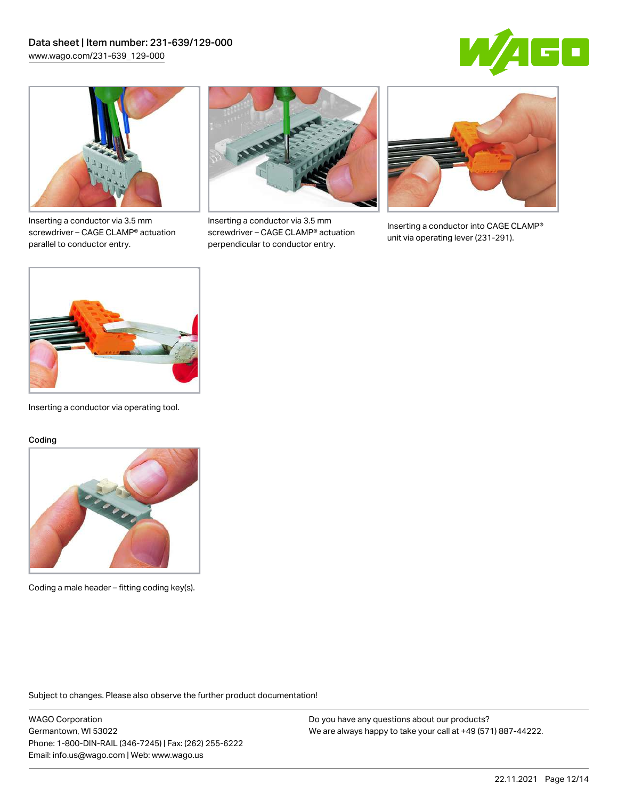



Inserting a conductor via 3.5 mm screwdriver – CAGE CLAMP® actuation parallel to conductor entry.



Inserting a conductor via 3.5 mm screwdriver – CAGE CLAMP® actuation perpendicular to conductor entry.



Inserting a conductor into CAGE CLAMP® unit via operating lever (231-291).



Inserting a conductor via operating tool.

#### Coding



Coding a male header – fitting coding key(s).

Subject to changes. Please also observe the further product documentation!

WAGO Corporation Germantown, WI 53022 Phone: 1-800-DIN-RAIL (346-7245) | Fax: (262) 255-6222 Email: info.us@wago.com | Web: www.wago.us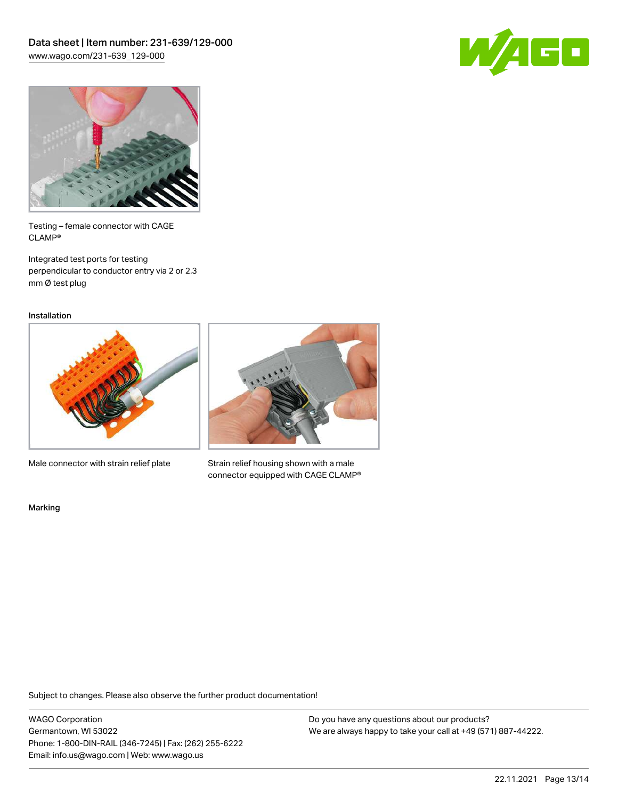



Testing – female connector with CAGE CLAMP®

Integrated test ports for testing perpendicular to conductor entry via 2 or 2.3 mm Ø test plug

Installation



Male connector with strain relief plate



Strain relief housing shown with a male connector equipped with CAGE CLAMP®

Marking

Subject to changes. Please also observe the further product documentation!

WAGO Corporation Germantown, WI 53022 Phone: 1-800-DIN-RAIL (346-7245) | Fax: (262) 255-6222 Email: info.us@wago.com | Web: www.wago.us